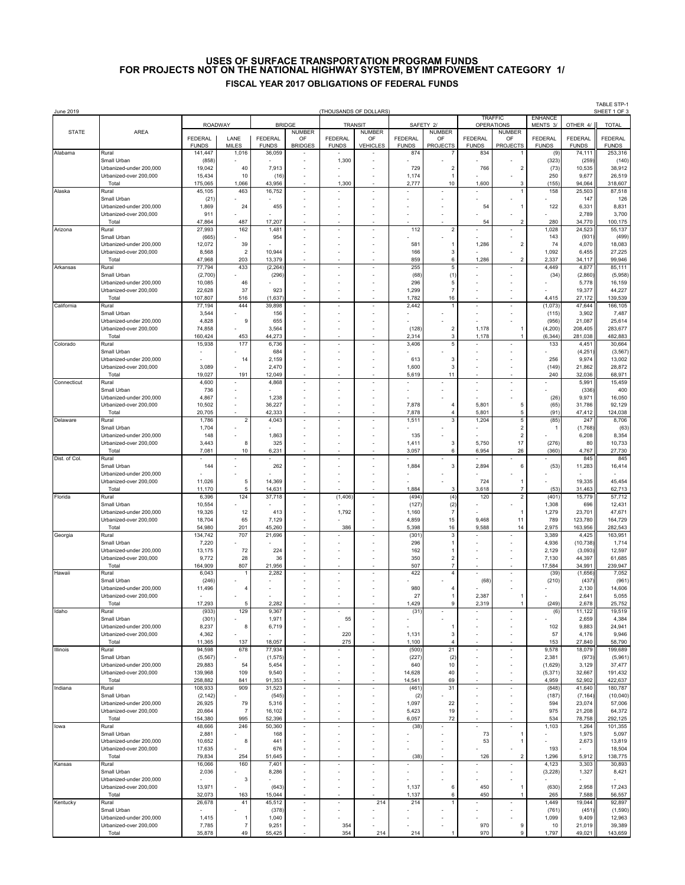## **USES OF SURFACE TRANSPORTATION PROGRAM FUNDS FISCAL YEAR 2017 OBLIGATIONS OF FEDERAL FUNDS FOR PROJECTS NOT ON THE NATIONAL HIGHWAY SYSTEM, BY IMPROVEMENT CATEGORY 1/**

| June 2019     |                                                   |                         |                         |                                |                          |                                   | (THOUSANDS OF DOLLARS) |                         |                         |                                     |                          |                            |                         | TABLE STP-1<br>SHEET 1 OF 3 |
|---------------|---------------------------------------------------|-------------------------|-------------------------|--------------------------------|--------------------------|-----------------------------------|------------------------|-------------------------|-------------------------|-------------------------------------|--------------------------|----------------------------|-------------------------|-----------------------------|
|               |                                                   |                         | <b>ROADWAY</b>          |                                | <b>BRIDGE</b>            | TRANSIT                           |                        | SAFETY 2/               |                         | <b>TRAFFIC</b><br><b>OPERATIONS</b> |                          | <b>ENHANCE</b><br>MENTS 3/ | OTHER 4/                | <b>TOTAL</b>                |
| <b>STATE</b>  | AREA                                              |                         |                         |                                | <b>NUMBER</b>            |                                   | NUMBER                 |                         | <b>NUMBER</b>           |                                     | <b>NUMBER</b>            |                            |                         |                             |
|               |                                                   | FEDERAL<br><b>FUNDS</b> | LANE<br><b>MILES</b>    | <b>FEDERAL</b><br><b>FUNDS</b> | OF<br><b>BRIDGES</b>     | FEDERAL<br><b>FUNDS</b>           | OF<br><b>VEHICLES</b>  | FEDERAL<br><b>FUNDS</b> | OF<br><b>PROJECTS</b>   | FEDERAL<br><b>FUNDS</b>             | OF<br><b>PROJECTS</b>    | FEDERAL<br><b>FUNDS</b>    | FEDERAL<br><b>FUNDS</b> | FEDERAL<br><b>FUNDS</b>     |
| Alabama       | Rural                                             | 141,447                 | 1,016                   | 36,059                         |                          |                                   |                        | 874                     |                         | 834                                 |                          | (9)                        | 74,111                  | 253,316                     |
|               | Small Urban<br>Urbanized-under 200.000            | (858)<br>19,042         | 40                      | 7,913                          |                          | 1,300                             |                        | 729                     | $\overline{2}$          | 766                                 | $\overline{2}$           | (323)<br>(73)              | (259)<br>10,535         | (140)<br>38,912             |
|               | Urbanized-over 200,000                            | 15,434                  | 10                      | (16)                           |                          |                                   |                        | 1,174                   |                         |                                     |                          | 250                        | 9,677                   | 26,519                      |
| Alaska        | Total<br>Rural                                    | 175,065<br>45,105       | 1,066<br>463            | 43,956<br>16,752               | $\sim$                   | 1,300<br>$\overline{\phantom{a}}$ | ×,                     | 2,777<br>÷,             | 10                      | 1,600                               | 3<br>$\mathbf{1}$        | (155)<br>158               | 94,064<br>25,503        | 318,607<br>87,518           |
|               | Small Urban                                       | (21)                    |                         |                                |                          |                                   |                        |                         |                         |                                     |                          |                            | 147                     | 126                         |
|               | Urbanized-under 200,000                           | 1,869                   | 24                      | 455                            |                          |                                   |                        |                         |                         | 54                                  | -1                       | 122                        | 6,331                   | 8,831                       |
|               | Urbanized-over 200,000<br>Total                   | 911<br>47,864           | 487                     | 17,207                         |                          |                                   |                        |                         |                         | 54                                  | 2                        | 280                        | 2,789<br>34,770         | 3,700<br>100,175            |
| Arizona       | Rural                                             | 27,993                  | 162                     | 1,481                          |                          |                                   |                        | 112                     | $\overline{\mathbf{c}}$ |                                     |                          | 1,028                      | 24,523                  | 55,137                      |
|               | Small Urban<br>Urbanized-under 200,000            | (665)<br>12,072         | 39                      | 954                            |                          |                                   |                        | 581                     | $\overline{1}$          | 1,286                               | 2                        | 143<br>74                  | (931)<br>4,070          | (499)<br>18,083             |
|               | Urbanized-over 200,000                            | 8,568                   | $\sqrt{2}$              | 10,944                         |                          |                                   |                        | 166                     | 3                       |                                     |                          | 1,092                      | 6,455                   | 27,225                      |
|               | Total                                             | 47,968<br>77,794        | 203<br>433              | 13,379<br>(2, 264)             |                          | ٠                                 | ×                      | 859<br>255              | 6<br>5                  | 1,286                               | $\overline{2}$           | 2,337<br>4,449             | 34,117<br>4,877         | 99,946<br>85,111            |
| Arkansas      | Rural<br>Small Urban                              | (2,700)                 |                         | (296)                          | $\overline{\phantom{a}}$ |                                   |                        | (68)                    | (1)                     | $\overline{\phantom{a}}$            | ٠                        | (34)                       | (2,860)                 | (5,958)                     |
|               | Urbanized-under 200,000                           | 10,085                  | 46                      |                                |                          |                                   |                        | 296                     | 5                       |                                     |                          |                            | 5,778                   | 16,159                      |
|               | Urbanized-over 200,000<br>Total                   | 22,628<br>107,807       | 37<br>516               | 923<br>(1,637)                 |                          |                                   |                        | 1,299<br>1,782          | $\overline{7}$<br>16    |                                     |                          | 4,415                      | 19,377<br>27,172        | 44,227<br>139,539           |
| California    | Rural                                             | 77,194                  | 444                     | 39,898                         |                          |                                   |                        | 2,442                   | 1                       |                                     | ä,                       | (1,073)                    | 47,644                  | 166,105                     |
|               | Small Urban<br>Urbanized-under 200.000            | 3,544<br>4,828          | 9                       | 156<br>655                     |                          |                                   |                        |                         |                         |                                     |                          | (115)<br>(956)             | 3,902<br>21,087         | 7,487<br>25,614             |
|               | Urbanized-over 200,000                            | 74,858                  |                         | 3,564                          |                          |                                   |                        | (128)                   | $\overline{\mathbf{c}}$ | 1,178                               | 1                        | (4, 200)                   | 208,405                 | 283,677                     |
|               | Total                                             | 160,424                 | 453                     | 44,273                         |                          |                                   |                        | 2,314                   | 3                       | 1,178                               | $\overline{1}$           | (6, 344)                   | 281,038                 | 482,883                     |
| Colorado      | Rural<br>Small Urban                              | 15,938                  | 177                     | 6,736<br>684                   |                          |                                   |                        | 3,406                   | 5                       |                                     |                          | 133                        | 4,451<br>(4, 251)       | 30,664<br>(3, 567)          |
|               | Urbanized-under 200,000                           |                         | 14                      | 2,159                          |                          |                                   |                        | 613                     | 3                       |                                     |                          | 256                        | 9,974                   | 13,002                      |
|               | Urbanized-over 200,000<br>Total                   | 3,089<br>19,027         | 191                     | 2,470<br>12,049                |                          |                                   |                        | 1,600<br>5,619          | 3<br>11                 |                                     |                          | (149)<br>240               | 21,862<br>32,036        | 28,872<br>68,971            |
| Connecticut   | Rural                                             | 4,600                   | ×                       | 4,868                          | $\overline{\phantom{a}}$ |                                   | ×,                     | ÷,                      |                         | $\overline{\phantom{a}}$            | $\overline{\phantom{a}}$ |                            | 5,991                   | 15,459                      |
|               | Small Urban                                       | 736                     |                         |                                |                          |                                   |                        |                         |                         |                                     |                          |                            | (336)                   | 400                         |
|               | Urbanized-under 200.000<br>Urbanized-over 200,000 | 4,867<br>10,502         | ä,                      | 1,238<br>36,227                |                          |                                   |                        | 7,878                   | $\overline{4}$          | 5,801                               | 5                        | (26)<br>(65)               | 9,971<br>31,786         | 16,050<br>92,129            |
|               | Total                                             | 20,705                  |                         | 42,333                         |                          |                                   |                        | 7,878                   | $\overline{4}$          | 5,801                               | 5                        | (91)                       | 47,412                  | 124,038                     |
| Delaware      | Rural<br>Small Urban                              | 1,786<br>1,704          | $\overline{\mathbf{c}}$ | 4,043                          |                          |                                   |                        | 1,511                   | 3                       | 1,204<br>$\sim$                     | 5<br>$\sqrt{2}$          | (85)<br>-1                 | 247<br>(1,768)          | 8,706<br>(63)               |
|               | Urbanized-under 200,000                           | 148                     |                         | 1,863                          |                          |                                   |                        | 135                     |                         |                                     | $\sqrt{2}$               |                            | 6,208                   | 8,354                       |
|               | Urbanized-over 200,000                            | 3,443                   | 8                       | 325                            |                          |                                   |                        | 1,411                   | 3                       | 5,750                               | 17                       | (276)                      | 80                      | 10,733                      |
| Dist. of Col. | Total<br>Rural                                    | 7,081                   | 10<br>÷,                | 6,231                          |                          |                                   | ×                      | 3,057                   | 6                       | 6,954                               | 26                       | (360)                      | 4,767<br>845            | 27,730<br>845               |
|               | Small Urban                                       | 144                     |                         | 262                            |                          |                                   |                        | 1,884                   | 3                       | 2,894                               | 6                        | (53)                       | 11,283                  | 16,414                      |
|               | Urbanized-under 200,000<br>Urbanized-over 200,000 | 11,026                  | 5                       | 14,369                         |                          |                                   |                        |                         |                         | 724                                 | -1                       |                            | 19,335                  | 45,454                      |
|               | Total                                             | 11,170                  | 5                       | 14,631                         |                          |                                   |                        | 1,884                   | 3                       | 3,618                               | $\overline{7}$           | (53)                       | 31,463                  | 62,713                      |
| Florida       | Rural                                             | 6,396                   | 124                     | 37,718                         |                          | (1, 406)                          |                        | (494)                   | (4)                     | 120                                 | $\sqrt{2}$               | (401)                      | 15,779                  | 57,712                      |
|               | Small Urban<br>Urbanized-under 200,000            | 10,554<br>19,326        | 12                      | 413                            |                          | 1,792                             |                        | (127)<br>1,160          | (2)<br>$\overline{7}$   |                                     | -1                       | 1,308<br>1,279             | 696<br>23,701           | 12,431<br>47,671            |
|               | Urbanized-over 200,000                            | 18,704                  | 65                      | 7,129                          |                          |                                   |                        | 4,859                   | 15                      | 9,468                               | 11                       | 789                        | 123,780                 | 164,729                     |
| Georgia       | Total<br>Rural                                    | 54,980<br>134,742       | 201<br>707              | 45,260<br>21,696               |                          | 386                               |                        | 5,398<br>(301)          | 16<br>3                 | 9,588                               | 14                       | 2,975<br>3,389             | 163,956<br>4,425        | 282,543<br>163,951          |
|               | Small Urban                                       | 7,220                   |                         |                                |                          |                                   |                        | 296                     | 1                       |                                     |                          | 4,936                      | (10, 738)               | 1,714                       |
|               | Urbanized-under 200,000<br>Urbanized-over 200,000 | 13,175<br>9,772         | 72<br>28                | 224<br>36                      |                          |                                   |                        | 162<br>350              | 1<br>$\overline{2}$     |                                     |                          | 2,129<br>7,130             | (3,093)<br>44,397       | 12,597<br>61,685            |
|               | Total                                             | 164,909                 | 807                     | 21,956                         |                          |                                   |                        | 507                     | $\overline{7}$          |                                     |                          | 17,584                     | 34,991                  | 239,947                     |
| Hawaii        | Rural                                             | 6,043                   |                         | 2,282                          |                          |                                   | ä,                     | 422                     | 4                       |                                     | $\sim$                   | (39)                       | (1,656)                 | 7,052                       |
|               | Small Urban<br>Urbanized-under 200.000            | (246)<br>11,496         | $\overline{4}$          |                                |                          |                                   |                        | 980                     | $\overline{4}$          | (68)                                |                          | (210)                      | (437)<br>2,130          | (961)<br>14,606             |
|               | Urbanized-over 200,000                            |                         |                         |                                |                          |                                   |                        | 27                      | 1                       | 2,387                               | -1                       |                            | 2,641                   | 5,055                       |
| Idaho         | Total<br>Rural                                    | 17.293<br>(933)         | 5<br>129                | 2.282<br>9,367                 |                          |                                   |                        | .429<br>(31)            | 9                       | 2.319<br>$\overline{\phantom{a}}$   | $\overline{\phantom{a}}$ | (249)<br>(6)               | 2.678<br>11,122         | 25.752<br>19,519            |
|               | Small Urban                                       | (301)                   |                         | 1,971                          |                          | 55                                | ٠                      |                         |                         | ٠                                   | ٠                        |                            | 2,659                   | 4,384                       |
|               | Urbanized-under 200,000                           | 8,237                   | 8                       | 6,719                          |                          |                                   |                        |                         | 1                       |                                     |                          | 102                        | 9,883                   | 24,941                      |
|               | Urbanized-over 200,000<br>Total                   | 4,362<br>11,365         | 137                     | 18,057                         | $\overline{\phantom{a}}$ | 220<br>275                        | ä,                     | 1,131<br>1,100          | 3<br>$\overline{4}$     |                                     |                          | 57<br>153                  | 4,176<br>27,840         | 9,946<br>58,790             |
| Illinois      | Rural                                             | 94,598                  | 678                     | 77,934                         | $\overline{\phantom{a}}$ |                                   | ×                      | (500)                   | 21                      | $\overline{\phantom{a}}$            | $\overline{\phantom{a}}$ | 9,578                      | 18,079                  | 199,689                     |
|               | Small Urban<br>Urbanized-under 200,000            | (5, 567)<br>29,883      | 54                      | (1, 575)<br>5,454              | $\overline{\phantom{a}}$ |                                   |                        | (227)<br>640            | (2)<br>10               |                                     | ٠                        | 2,381<br>(1,629)           | (973)<br>3,129          | (5,961)<br>37,477           |
|               | Urbanized-over 200,000                            | 139,968                 | 109                     | 9,540                          | $\overline{\phantom{a}}$ |                                   | ٠                      | 14,628                  | 40                      |                                     | ×                        | (5, 371)                   | 32,667                  | 191,432                     |
|               | Total                                             | 258,882                 | 841                     | 91,353                         |                          |                                   |                        | 14,541                  | 69                      |                                     |                          | 4,959                      | 52,902                  | 422,637                     |
| Indiana       | Rural<br>Small Urban                              | 108,933<br>(2, 142)     | 909                     | 31,523<br>(545)                | $\overline{\phantom{a}}$ |                                   | ä,                     | (461)<br>(2)            | 31                      | $\overline{\phantom{a}}$            | ä,                       | (848)<br>(187)             | 41,640<br>(7, 164)      | 180,787<br>(10, 040)        |
|               | Urbanized-under 200,000                           | 26,925                  | 79                      | 5,316                          |                          |                                   |                        | 1,097                   | 22                      |                                     |                          | 594                        | 23,074                  | 57,006                      |
|               | Urbanized-over 200,000                            | 20,664<br>154,380       | $\overline{7}$<br>995   | 16,102<br>52,396               |                          |                                   |                        | 5,423<br>6,057          | 19<br>72                |                                     |                          | 975<br>534                 | 21,208                  | 64,372<br>292,125           |
| lowa          | Total<br>Rural                                    | 48,666                  | 246                     | 50,360                         |                          |                                   |                        | (38)                    |                         |                                     |                          | 1,103                      | 78,758<br>1,264         | 101,355                     |
|               | Small Urban                                       | 2,881                   |                         | 168                            |                          |                                   |                        |                         |                         | 73                                  | 1                        |                            | 1,975                   | 5,097                       |
|               | Urbanized-under 200,000<br>Urbanized-over 200,000 | 10,652<br>17,635        | 8                       | 441<br>676                     |                          |                                   |                        |                         |                         | 53                                  | $\overline{1}$           | 193                        | 2,673                   | 13,819<br>18,504            |
|               | Total                                             | 79,834                  | 254                     | 51,645                         | $\sim$                   |                                   |                        | (38)                    |                         | 126                                 | $\overline{2}$           | 1,296                      | 5,912                   | 138,775                     |
| Kansas        | Rural                                             | 16,066                  | 160                     | 7,401                          | $\overline{\phantom{a}}$ | $\overline{\phantom{a}}$          | ×,                     |                         | $\sim$                  |                                     | $\overline{\phantom{a}}$ | 4,123                      | 3,303                   | 30,893                      |
|               | Small Urban<br>Urbanized-under 200,000            | 2,036                   | 3                       | 8,286                          | $\overline{\phantom{a}}$ |                                   |                        |                         |                         |                                     |                          | (3, 228)                   | 1,327                   | 8,421                       |
|               | Urbanized-over 200,000                            | 13,971                  |                         | (643)                          |                          |                                   |                        | 1,137                   | 6                       | 450                                 | 1                        | (630)                      | 2,958                   | 17,243                      |
| Kentucky      | Total<br>Rural                                    | 32,073<br>26,678        | 163<br>41               | 15,044<br>45,512               | $\overline{\phantom{a}}$ | ×,                                | 214                    | 1,137<br>214            | 6<br>1                  | 450<br>٠                            | $\overline{1}$<br>÷,     | 265<br>1,449               | 7,588<br>19,044         | 56,557<br>92,897            |
|               | Small Urban                                       | ٠                       |                         | (378)                          |                          |                                   |                        |                         |                         |                                     | ٠                        | (761)                      | (451)                   | (1,590)                     |
|               | Urbanized-under 200,000                           | 1,415                   | 1                       | 1,040                          |                          |                                   |                        |                         |                         |                                     |                          | 1,099                      | 9,409                   | 12,963                      |
|               | Urbanized-over 200,000<br>Total                   | 7,785<br>35,878         | $\boldsymbol{7}$<br>49  | 9,251<br>55,425                |                          | 354<br>354                        | 214                    | 214                     | 1                       | 970<br>970                          | 9<br>9                   | 10<br>1,797                | 21,019<br>49,021        | 39,389<br>143,659           |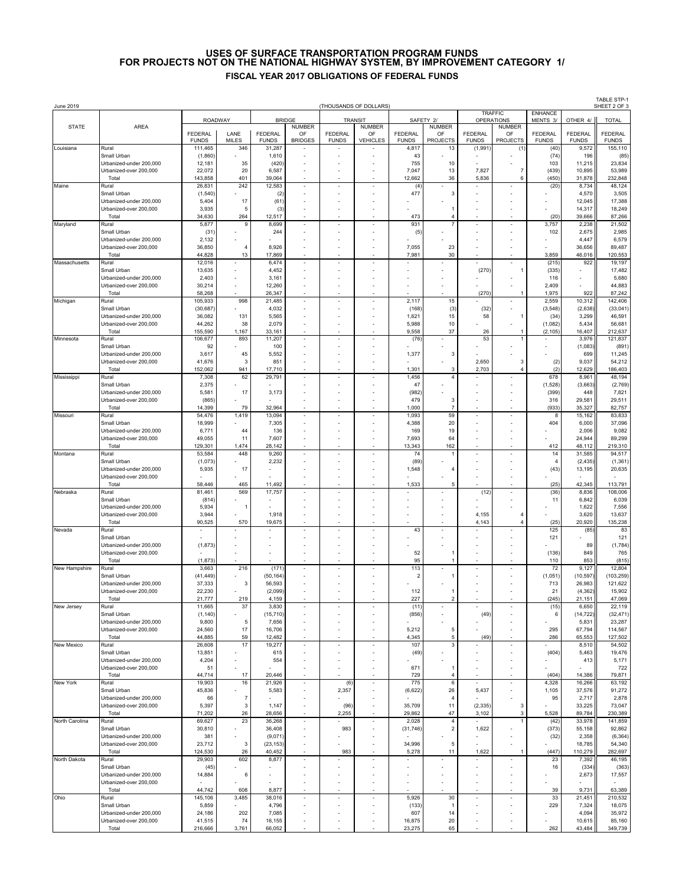## **USES OF SURFACE TRANSPORTATION PROGRAM FUNDS FISCAL YEAR 2017 OBLIGATIONS OF FEDERAL FUNDS FOR PROJECTS NOT ON THE NATIONAL HIGHWAY SYSTEM, BY IMPROVEMENT CATEGORY 1/**

| June 2019      |                                                   |                         |                       |                                |                                       | (THOUSANDS OF DOLLARS)         |                                        |                                   |                                        |                                   |                                 |                         |                         | <b>TABLE STP-1</b><br>SHEET 2 OF 3 |
|----------------|---------------------------------------------------|-------------------------|-----------------------|--------------------------------|---------------------------------------|--------------------------------|----------------------------------------|-----------------------------------|----------------------------------------|-----------------------------------|---------------------------------|-------------------------|-------------------------|------------------------------------|
|                | <b>ROADWAY</b>                                    |                         | <b>BRIDGE</b>         |                                | TRANSIT                               |                                | SAFETY 2/                              |                                   | <b>TRAFFIC</b><br><b>OPERATIONS</b>    |                                   | <b>ENHANCE</b><br>MENTS 3/      | OTHER 4/                | <b>TOTAL</b>            |                                    |
| <b>STATE</b>   | AREA                                              | FEDERAL<br><b>FUNDS</b> | LANE<br><b>MILES</b>  | <b>FEDERAL</b><br><b>FUNDS</b> | <b>NUMBER</b><br>OF<br><b>BRIDGES</b> | <b>FEDERAL</b><br><b>FUNDS</b> | <b>NUMBER</b><br>OF<br><b>VEHICLES</b> | <b>FEDERAL</b><br><b>FUNDS</b>    | <b>NUMBER</b><br>OF<br><b>PROJECTS</b> | <b>FEDERAL</b><br><b>FUNDS</b>    | NUMBER<br>OF<br><b>PROJECTS</b> | FEDERAL<br><b>FUNDS</b> | FEDERAL<br><b>FUNDS</b> | <b>FEDERAL</b><br><b>FUNDS</b>     |
| Louisiana      | Rural<br>Small Urban                              | 111,465                 | 346                   | 31,287                         |                                       |                                |                                        | 4,817<br>43                       | 13                                     | (1,991)                           | (1)                             | (40)                    | 9,572<br>196            | 155,110                            |
|                | Urbanized-under 200,000                           | (1,860)<br>12,181       | 35                    | 1,610<br>(420)                 |                                       |                                |                                        | 755                               | 10                                     |                                   |                                 | (74)<br>103             | 11,215                  | (85)<br>23,834                     |
|                | Urbanized-over 200,000<br>Total                   | 22,072<br>143,858       | 20<br>401             | 6,587<br>39,064                |                                       |                                |                                        | 7,047<br>12,662                   | 13<br>36                               | 7,827<br>5,836                    | $\boldsymbol{7}$<br>6           | (439)<br>(450)          | 10,895<br>31,878        | 53,989<br>232,848                  |
| Maine          | Rural                                             | 26,831                  | 242                   | 12,583                         | $\overline{\phantom{a}}$              |                                | ×                                      | (4)<br>477                        | 3                                      | $\overline{\phantom{a}}$          | ×                               | (20)                    | 8,734                   | 48,124<br>3,505                    |
|                | Small Urban<br>Urbanized-under 200,000            | (1,540)<br>5,404        | 17                    | (2)<br>(61)                    |                                       |                                |                                        |                                   |                                        |                                   |                                 |                         | 4,570<br>12,045         | 17,388                             |
|                | Urbanized-over 200.000<br>Total                   | 3,935<br>34,630         | 5<br>264              | (3)<br>12,517                  |                                       |                                |                                        | 473                               | 4                                      |                                   |                                 | (20)                    | 14,317<br>39,666        | 18,249<br>87,266                   |
| Maryland       | Rural                                             | 5,877                   | 9                     | 8,699                          |                                       |                                |                                        | 931                               |                                        |                                   |                                 | 3,757                   | 2,238                   | 21,502                             |
|                | Small Urban<br>Urbanized-under 200,000            | (31)<br>2,132           |                       | 244                            |                                       |                                |                                        | (5)                               |                                        |                                   |                                 | 102                     | 2,675<br>4,447          | 2,985<br>6,579                     |
|                | Urbanized-over 200,000<br>Total                   | 36,850<br>44,828        | $\overline{4}$<br>13  | 8,926<br>17,869                |                                       |                                |                                        | 7,055<br>7,981                    | 23<br>30                               |                                   |                                 | 3,859                   | 36,656<br>46,016        | 89,487<br>120,553                  |
| Massachusetts  | Rural                                             | 12,016                  |                       | 6,474                          | ٠                                     |                                |                                        |                                   |                                        |                                   | ٠                               | (215)                   | 922                     | 19,197                             |
|                | Small Urban<br>Urbanized-under 200,000            | 13,635<br>2,403         | ٠                     | 4,452<br>3,161                 | $\overline{\phantom{a}}$              |                                |                                        |                                   |                                        | (270)                             | $\mathbf{1}$<br>÷               | (335)<br>116            |                         | 17,482<br>5,680                    |
|                | Urbanized-over 200,000<br>Total                   | 30,214<br>58,268        |                       | 12,260<br>26,347               |                                       |                                |                                        |                                   |                                        | (270)                             | 1                               | 2,409<br>1,975          | 922                     | 44,883<br>87,242                   |
| Michigan       | Rural                                             | 105,933                 | 998                   | 21,485                         | ÷,                                    |                                |                                        | 2,117                             | 15                                     |                                   | ä,                              | 2,559                   | 10,312                  | 142,406                            |
|                | Small Urban<br>Urbanized-under 200,000            | (30, 687)<br>36,082     | 131                   | 4,032<br>5,565                 |                                       |                                |                                        | (168)<br>1,621                    | (3)<br>15                              | (32)<br>58                        |                                 | (3, 548)<br>(34)        | (2,638)<br>3,299        | (33, 041)<br>46,591                |
|                | Urbanized-over 200,000<br>Total                   | 44,262<br>155,590       | 38<br>1,167           | 2,079<br>33,161                |                                       |                                |                                        | 5,988<br>9,558                    | 10<br>37                               | 26                                | $\overline{1}$                  | (1,082)<br>(2, 105)     | 5,434<br>16,407         | 56,681<br>212,637                  |
| Minnesota      | Rural<br>Small Urban                              | 106,677<br>92           | 893                   | 11,207<br>100                  |                                       |                                |                                        | (76)                              |                                        | 53                                | ٠                               |                         | 3,976<br>(1,083)        | 121,837<br>(891)                   |
|                | Urbanized-under 200,000                           | 3,617                   | 45                    | 5,552                          |                                       |                                |                                        | 1,377                             | 3                                      |                                   |                                 |                         | 699                     | 11,245                             |
|                | Urbanized-over 200,000<br>Total                   | 41,676<br>152,062       | 3<br>941              | 851<br>17,710                  |                                       |                                |                                        | 1,301                             | 3                                      | 2,650<br>2,703                    | 3<br>$\overline{4}$             | (2)<br>(2)              | 9,037<br>12,629         | 54,212<br>186,403                  |
| Mississippi    | Rural<br>Small Urban                              | 7,308<br>2,375          | 62                    | 29,791                         | ×,                                    |                                | ٠                                      | 1,456<br>47                       | $\overline{4}$                         | ٠                                 | $\overline{\phantom{a}}$        | 678<br>(1, 528)         | 8,961<br>(3,663)        | 48,194<br>(2,769)                  |
|                | Urbanized-under 200,000                           | 5,581                   | 17                    | 3,173                          |                                       |                                |                                        | (982)                             |                                        |                                   |                                 | (399)                   | 448                     | 7,821                              |
|                | Urbanized-over 200,000<br>Total                   | (865)<br>14,399         | 79                    | 32,964                         |                                       |                                |                                        | 479<br>1,000                      | 3<br>$\overline{7}$                    |                                   | ×                               | 316<br>(933)            | 29,581<br>35,327        | 29,511<br>82,757                   |
| Missouri       | Rural<br>Small Urban                              | 54,476<br>18,999        | 1,419                 | 13,094<br>7,305                |                                       |                                |                                        | 1,093<br>4,388                    | 59<br>20                               |                                   |                                 | 8<br>404                | 15,162<br>6,000         | 83,833<br>37,096                   |
|                | Urbanized-under 200,000                           | 6,771                   | 44                    | 136                            |                                       |                                |                                        | 169                               | 19                                     |                                   |                                 |                         | 2,006                   | 9,082                              |
|                | Urbanized-over 200,000<br>Total                   | 49,055<br>129,301       | 11<br>1,474           | 7,607<br>28,142                |                                       |                                |                                        | 7,693<br>13,343                   | 64<br>162                              |                                   |                                 | 412                     | 24,944<br>48,112        | 89,299<br>219,310                  |
| Montana        | Rural<br>Small Urban                              | 53,584<br>(1,073)       | 448                   | 9,260<br>2,232                 | $\overline{\phantom{a}}$              |                                |                                        | 74<br>(89)                        |                                        |                                   |                                 | 14<br>$\overline{4}$    | 31,585<br>(2, 435)      | 94,517<br>(1, 361)                 |
|                | Urbanized-under 200,000                           | 5,935                   | 17                    |                                |                                       |                                |                                        | 1,548                             | 4                                      |                                   |                                 | (43)                    | 13,195                  | 20,635                             |
|                | Urbanized-over 200,000<br>Total                   | 58,446                  | 465                   | 11,492                         |                                       |                                |                                        | 1,533                             | 5                                      |                                   |                                 | (25)                    | 42,345                  | 113,791                            |
| Nebraska       | Rural<br>Small Urban                              | 81,461<br>(814)         | 569                   | 17,757                         |                                       |                                |                                        |                                   |                                        | (12)                              |                                 | (36)<br>11              | 8,836<br>6,842          | 108,006<br>6,039                   |
|                | Urbanized-under 200,000<br>Urbanized-over 200,000 | 5,934<br>3,944          | 1                     | 1,918                          |                                       |                                |                                        |                                   |                                        | 4,155                             | $\overline{4}$                  |                         | 1,622<br>3,620          | 7,556<br>13,637                    |
|                | Total                                             | 90,525                  | 570                   | 19,675                         |                                       |                                |                                        |                                   |                                        | 4,143                             | $\overline{4}$                  | (25)                    | 20,920                  | 135,238                            |
| Nevada         | Rural<br>Small Urban                              |                         |                       |                                |                                       |                                |                                        | 43                                |                                        |                                   |                                 | 125<br>121              | (85)                    | 83<br>121                          |
|                | Urbanized-under 200.000<br>Urbanized-over 200,000 | (1, 873)                |                       |                                |                                       |                                |                                        | 52                                |                                        |                                   |                                 | (136)                   | 89<br>849               | (1,784)<br>765                     |
|                | Total                                             | (1, 873)                |                       |                                |                                       |                                |                                        | 95                                |                                        |                                   |                                 | 110                     | 853                     | (815)                              |
| New Hampshire  | Rural<br>Small Urban                              | 3,663<br>(41, 449)      | 216                   | (171)<br>(50, 164)             |                                       |                                |                                        | 113<br>$\overline{a}$             |                                        |                                   | ÷                               | 72<br>(1,051)           | 9,127<br>(10, 597)      | 12,804<br>(103, 259)               |
|                | Urbanized-under 200,000<br>Urbanized-over 200,000 | 37,333<br>22,230        | 3                     | 56,593<br>(2,099)              |                                       |                                |                                        | 112                               |                                        |                                   |                                 | 713<br>21               | 26,983<br>(4, 362)      | 121,622<br>15,902                  |
|                | Total                                             | 21,777                  | 219                   | 4,159                          |                                       |                                |                                        | 227                               | $\overline{c}$                         |                                   |                                 | (245)                   | 21,151                  | 47,069                             |
| New Jersey     | Rural<br>Small Urban                              | 11,665<br>(1, 140)      | 37<br>٠               | 3,830<br>(15, 710)             | $\sim$                                |                                |                                        | (11)<br>(856)                     |                                        | (49)                              | ä,                              | (15)<br>6               | 6,650<br>(14, 722)      | 22,119<br>(32, 471)                |
|                | Urbanized-under 200,000<br>Urbanized-over 200,000 | 9,800<br>24,560         | 5<br>17               | 7,656<br>16,706                | $\sim$                                |                                |                                        | 5,212                             | 5                                      |                                   |                                 | 295                     | 5,831<br>67,794         | 23,287<br>114,567                  |
| New Mexico     | Total<br>Rural                                    | 44,885<br>26,608        | 59<br>17              | 12,482<br>19,277               | $\overline{\phantom{a}}$              | ٠                              | ٠                                      | 4,345<br>107                      | 5<br>3                                 | (49)<br>٠                         | ٠                               | 286                     | 65,553<br>8,510         | 127,502<br>54,502                  |
|                | Small Urban                                       | 13,851                  |                       | 615                            | ÷,                                    |                                |                                        | (49)                              |                                        |                                   |                                 | (404)                   | 5,463                   | 19,476                             |
|                | Urbanized-under 200,000<br>Urbanized-over 200,000 | 4,204<br>51             | ä,                    | 554                            | ×,                                    |                                |                                        | 671                               |                                        | ×                                 | ÷                               |                         | 413                     | 5,171<br>722                       |
| New York       | Total<br>Rural                                    | 44,714<br>19,903        | 17<br>16              | 20,446<br>21,926               | ٠<br>×,                               | (6)                            | ä,<br>×,                               | 729<br>775                        | $\overline{4}$<br>6                    | ٠                                 | ٠<br>ä,                         | (404)<br>4,328          | 14,386<br>16,266        | 79,871<br>63,192                   |
|                | Small Urban                                       | 45,836                  |                       | 5,583                          | ×,                                    | 2,357                          | ä                                      | (6,622)                           | 26                                     | 5,437                             | ä                               | 1,105                   | 37,576                  | 91,272                             |
|                | Urbanized-under 200,000<br>Urbanized-over 200,000 | 66<br>5,397             | $\boldsymbol{7}$<br>3 | 1,147                          |                                       | (96)                           |                                        | 35,709                            | $\overline{4}$<br>11                   | (2, 335)                          | 3                               | 95                      | 2,717<br>33,225         | 2,878<br>73,047                    |
| North Carolina | Total<br>Rural                                    | 71,202<br>69,627        | 26<br>23              | 28,656<br>36,268               | $\overline{\phantom{a}}$              | 2,255                          | ٠                                      | 29,862<br>2,028                   | 47<br>$\overline{4}$                   | 3,102                             | $\mathbf 3$<br>$\overline{1}$   | 5,528<br>(42)           | 89,784<br>33,978        | 230,389<br>141,859                 |
|                | Small Urban<br>Urbanized-under 200,000            | 30,810<br>381           |                       | 36,408<br>(9,071)              | $\sim$<br>$\overline{\phantom{a}}$    | 983                            | ×                                      | (31, 746)                         | $\overline{c}$                         | 1,622                             |                                 | (373)                   | 55,158<br>2,358         | 92,862<br>(6, 364)                 |
|                | Urbanized-over 200,000                            | 23,712                  | 3                     | (23, 153)                      | ×,                                    |                                |                                        | 34,996                            | 5                                      |                                   |                                 | (32)                    | 18,785                  | 54,340                             |
| North Dakota   | Total<br>Rural                                    | 124,530<br>29,903       | 26<br>602             | 40,452<br>8,877                | $\overline{\phantom{a}}$              | 983                            | ×                                      | 5,278<br>$\overline{\phantom{a}}$ | 11                                     | 1,622<br>$\overline{\phantom{a}}$ | -1<br>$\overline{\phantom{a}}$  | (447)<br>23             | 110,279<br>7,392        | 282,697<br>46,195                  |
|                | Small Urban<br>Urbanized-under 200,000            | (45)<br>14,884          | 6                     |                                | ٠                                     |                                |                                        |                                   |                                        |                                   |                                 | 16                      | (334)<br>2,673          | (363)<br>17,557                    |
|                | Urbanized-over 200,000                            |                         |                       |                                |                                       |                                |                                        |                                   |                                        | ÷,                                | ٠                               |                         |                         |                                    |
| Ohio           | Total<br>Rural                                    | 44,742<br>145,106       | 608<br>3,485          | 8,877<br>38,016                | $\overline{\phantom{a}}$              |                                |                                        | 5,926                             | 30                                     | $\overline{\phantom{a}}$          | ٠                               | 39<br>33                | 9,731<br>21,451         | 63,389<br>210,532                  |
|                | Small Urban<br>Urbanized-under 200,000            | 5,859<br>24,186         | 202                   | 4,796<br>7,085                 |                                       |                                |                                        | (133)<br>607                      | $\overline{1}$<br>14                   |                                   |                                 | 229                     | 7,324<br>4,094          | 18,075<br>35,972                   |
|                | Urbanized-over 200,000<br>Total                   | 41,515<br>216,666       | 74<br>3,761           | 16,155<br>66,052               | ٠                                     |                                |                                        | 16,875<br>23,275                  | 20<br>65                               |                                   |                                 | 262                     | 10,615<br>43,484        | 85,160<br>349,739                  |
|                |                                                   |                         |                       |                                |                                       |                                |                                        |                                   |                                        |                                   |                                 |                         |                         |                                    |